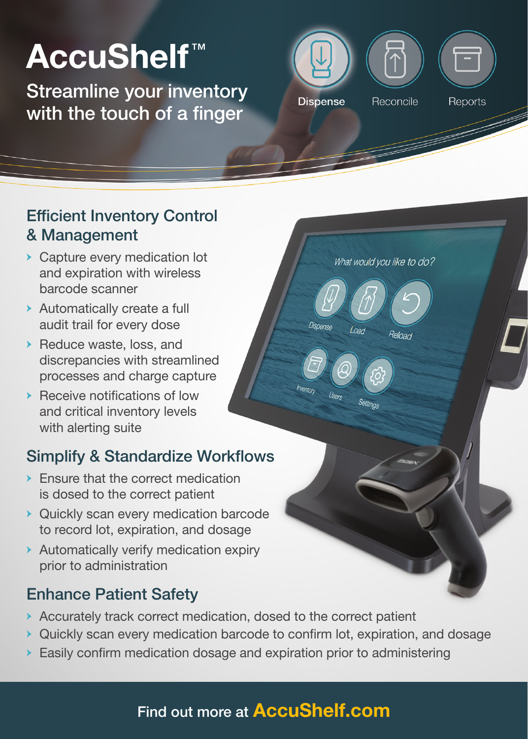# AccuShelf™

Streamline your inventory with the touch of a finger



What would you like to do?

Reload

Load

### Efficient Inventory Control & Management

- **→** Capture every medication lot and expiration with wireless barcode scanner
- **→** Automatically create a full audit trail for every dose
- **→** Reduce waste, loss, and discrepancies with streamlined processes and charge capture
- **→** Receive notifications of low and critical inventory levels with alerting suite

# Simplify & Standardize Workflows

- **→** Ensure that the correct medication is dosed to the correct patient
- **→** Quickly scan every medication barcode to record lot, expiration, and dosage
- **→** Automatically verify medication expiry prior to administration

# Enhance Patient Safety

- **→** Accurately track correct medication, dosed to the correct patient
- **→** Quickly scan every medication barcode to confirm lot, expiration, and dosage
- **→** Easily confirm medication dosage and expiration prior to administering

# Find out more at **AccuShelf.com**